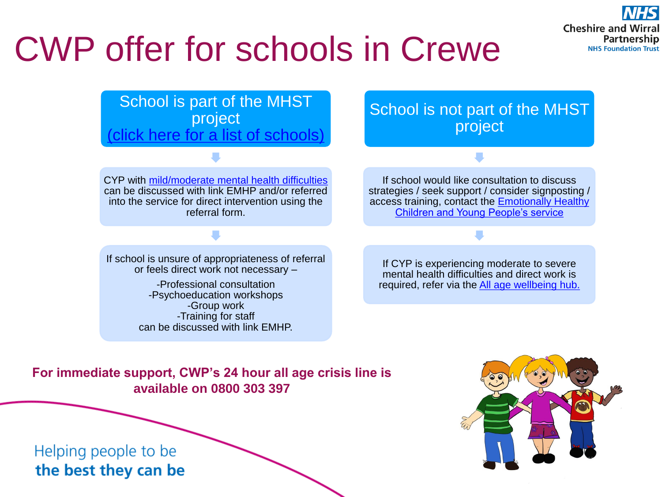# CWP offer for schools in Crewe



CYP with [mild/moderate mental health difficulties](#page-2-0)  can be discussed with link EMHP and/or referred into the service for direct intervention using the referral form.

If school is unsure of appropriateness of referral or feels direct work not necessary –

> -Professional consultation -Psychoeducation workshops -Group work -Training for staff can be discussed with link EMHP.

School is not part of the MHST project

If school would like consultation to discuss strategies / seek support / consider signposting / access training, contact the [Emotionally Healthy](https://www.mymind.org.uk/services-and-contacts/emotionally-healthy-children-and-young-people/)  [Children and Young People's service](https://www.mymind.org.uk/services-and-contacts/emotionally-healthy-children-and-young-people/)

If CYP is experiencing moderate to severe mental health difficulties and direct work is required, refer via the [All age wellbeing hub.](mailto:cwp.cyp.wellbeinghub@nhs.net?subject=Referral)

## **For immediate support, CWP's 24 hour all age crisis line is available on 0800 303 397**

## Helping people to be the best they can be



**Cheshire and Wirral** 

**Partnership NHS Foundation Trust**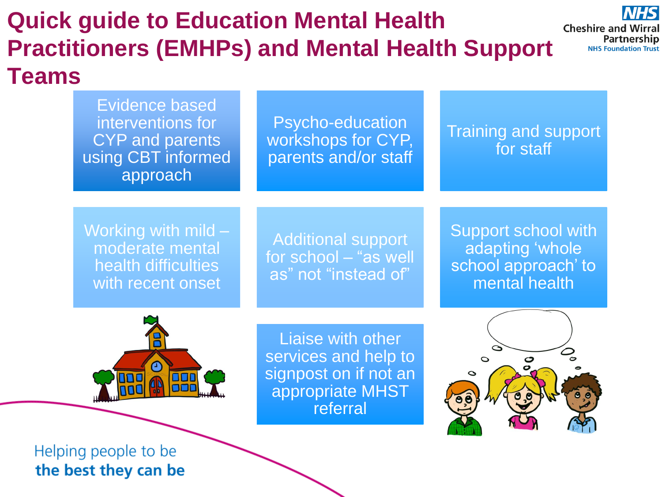### **Quick guide to Education Mental Health Cheshire and Wirral Partnership Practitioners (EMHPs) and Mental Health Support NHS Foundation Trust Teams** Evidence based interventions for Psycho-education

Working with mild – moderate mental health difficulties with recent onset

CYP and parents

using CBT informed

approach

**Additional support** for school – "as well as" not "instead of"

workshops for CYP,

parents and/or staff

Support school with adapting 'whole school approach' to mental health

Training and support

**NHS** 

for staff



Liaise with other services and help to signpost on if not an appropriate MHST referral



## Helping people to be the best they can be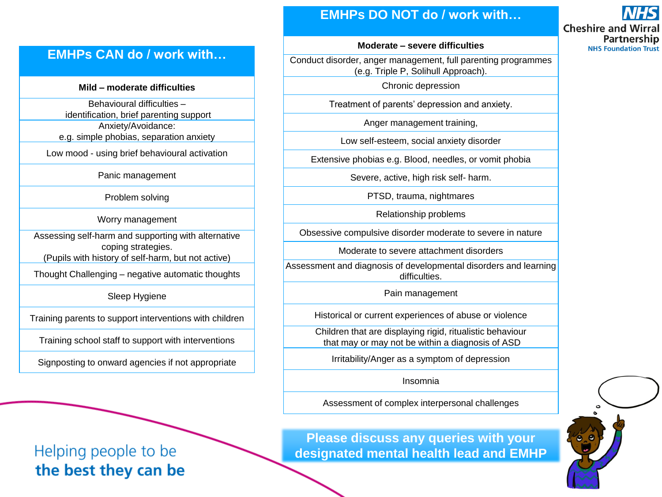## **EMHPs DO NOT do / work with…**

## **EMHPs CAN do / work with…**

#### **Mild – moderate difficulties**

Behavioural difficulties – identification, brief parenting support

Anxiety/Avoidance: e.g. simple phobias, separation anxiety

Low mood - using brief behavioural activation

Panic management

Problem solving

Worry management

Assessing self-harm and supporting with alternative coping strategies.

(Pupils with history of self-harm, but not active)

Thought Challenging – negative automatic thoughts

Sleep Hygiene

Training parents to support interventions with children

Training school staff to support with interventions

Signposting to onward agencies if not appropriate

## <span id="page-2-0"></span>Helping people to be the best they can be

**Please discuss any queries with your designated mental health lead and EMHP**

### **Moderate – severe difficulties**

Conduct disorder, anger management, full parenting programmes (e.g. Triple P, Solihull Approach).

Chronic depression

Treatment of parents' depression and anxiety.

Anger management training,

Low self-esteem, social anxiety disorder

Extensive phobias e.g. Blood, needles, or vomit phobia

Severe, active, high risk self- harm.

PTSD, trauma, nightmares

Relationship problems

Obsessive compulsive disorder moderate to severe in nature

Moderate to severe attachment disorders

Assessment and diagnosis of developmental disorders and learning difficulties.

Pain management

Historical or current experiences of abuse or violence

Children that are displaying rigid, ritualistic behaviour that may or may not be within a diagnosis of ASD

Irritability/Anger as a symptom of depression

Insomnia

Assessment of complex interpersonal challenges